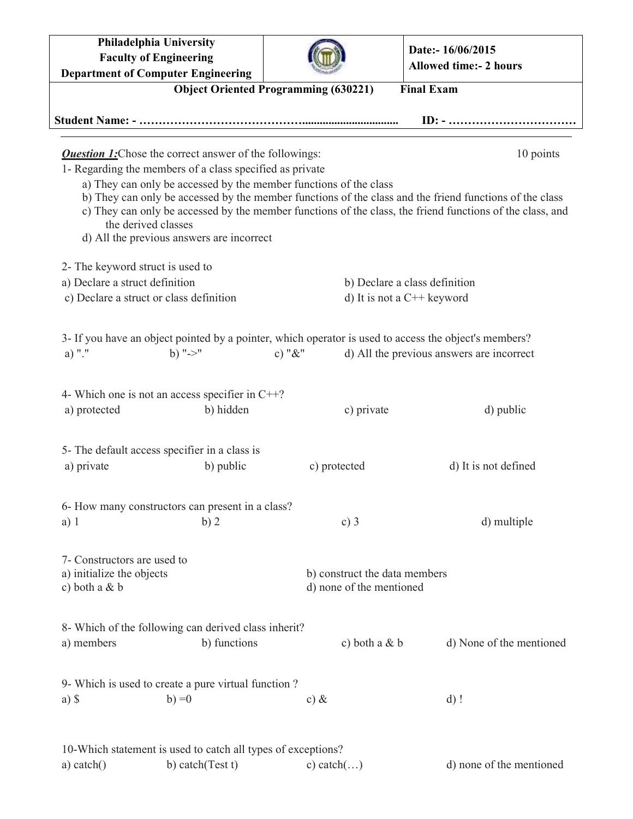**Philadelphia University Faculty of Engineering Department of Computer Engineering Date:- 16/06/2015 Allowed time:- 2 hours Object Oriented Programming (630221) Final Exam Student Name: - ……………………………………................................. ID: - ……………………………** *Question 1:* Chose the correct answer of the followings: 10 points 1- Regarding the members of a class specified as private a) They can only be accessed by the member functions of the class b) They can only be accessed by the member functions of the class and the friend functions of the class c) They can only be accessed by the member functions of the class, the friend functions of the class, and the derived classes d) All the previous answers are incorrect 2- The keyword struct is used to a) Declare a struct definition b) Declare a class definition c) Declare a struct or class definition d) It is not a  $C++$  keyword 3- If you have an object pointed by a pointer, which operator is used to access the object's members? a) "." b) " $>$ " c) " $\&$ " d) All the previous answers are incorrect 4- Which one is not an access specifier in C++? a) protected b) hidden c) private d) public 5- The default access specifier in a class is a) private b) public c) protected d) It is not defined 6- How many constructors can present in a class? a) 1 b) 2 c) 3 d) multiple 7- Constructors are used to a) initialize the objects b) construct the data members c) both a  $\& b$  d) none of the mentioned 8- Which of the following can derived class inherit? a) members b) functions c) both a & b d) None of the mentioned 9- Which is used to create a pure virtual function ? a) \$ b) =0 c) & d) ! 10-Which statement is used to catch all types of exceptions? a) catch() b) catch(Test t) c) catch(...) d) none of the mentioned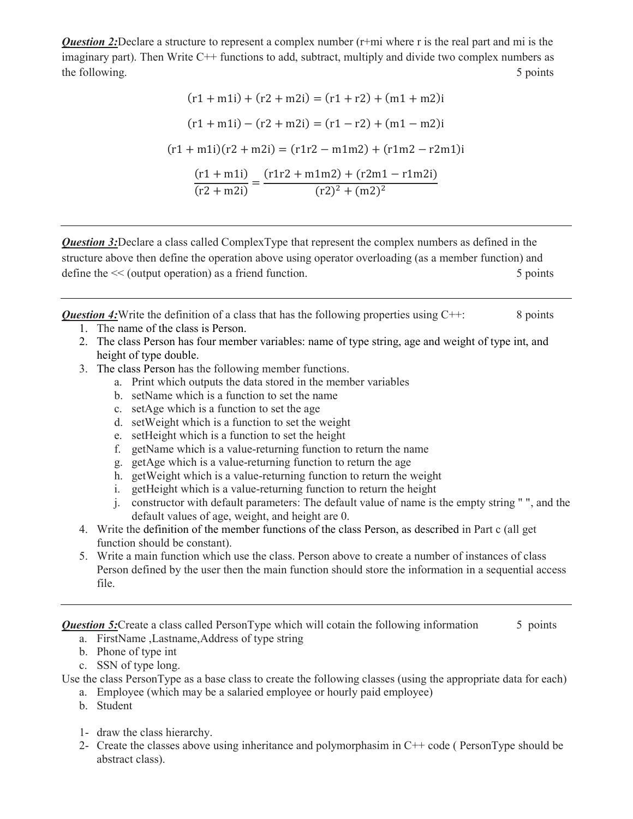*Question 2:*Declare a structure to represent a complex number (r+mi where r is the real part and mi is the imaginary part). Then Write C++ functions to add, subtract, multiply and divide two complex numbers as the following. 5 points the following.

$$
(r1 + m1i) + (r2 + m2i) = (r1 + r2) + (m1 + m2)i
$$

$$
(r1 + m1i) - (r2 + m2i) = (r1 - r2) + (m1 - m2)i
$$

$$
(r1 + m1i)(r2 + m2i) = (r1r2 - m1m2) + (r1m2 - r2m1)i
$$

$$
\frac{(r1 + m1i)}{(r2 + m2i)} = \frac{(r1r2 + m1m2) + (r2m1 - r1m2i)}{(r2)^2 + (m2)^2}
$$

**Question 3:**Declare a class called ComplexType that represent the complex numbers as defined in the structure above then define the operation above using operator overloading (as a member function) and define the  $<<$  (output operation) as a friend function. 5 points 5 points

**Question 4:** Write the definition of a class that has the following properties using C++: 8 points

- 1. The name of the class is Person.
- 2. The class Person has four member variables: name of type string, age and weight of type int, and height of type double.
- 3. The class Person has the following member functions.
	- a. Print which outputs the data stored in the member variables
	- b. setName which is a function to set the name
	- c. setAge which is a function to set the age
	- d. setWeight which is a function to set the weight
	- e. setHeight which is a function to set the height
	- f. getName which is a value-returning function to return the name
	- g. getAge which is a value-returning function to return the age
	- h. getWeight which is a value-returning function to return the weight
	- i. getHeight which is a value-returning function to return the height
	- j. constructor with default parameters: The default value of name is the empty string " ", and the default values of age, weight, and height are 0.
- 4. Write the definition of the member functions of the class Person, as described in Part c (all get function should be constant).
- 5. Write a main function which use the class. Person above to create a number of instances of class Person defined by the user then the main function should store the information in a sequential access file.

**Question 5:**Create a class called PersonType which will cotain the following information 5 points

- a. FirstName ,Lastname,Address of type string
- b. Phone of type int

c. SSN of type long.

- Use the class PersonType as a base class to create the following classes (using the appropriate data for each)
	- a. Employee (which may be a salaried employee or hourly paid employee)
	- b. Student
	- 1- draw the class hierarchy.
	- 2- Create the classes above using inheritance and polymorphasim in C++ code ( PersonType should be abstract class).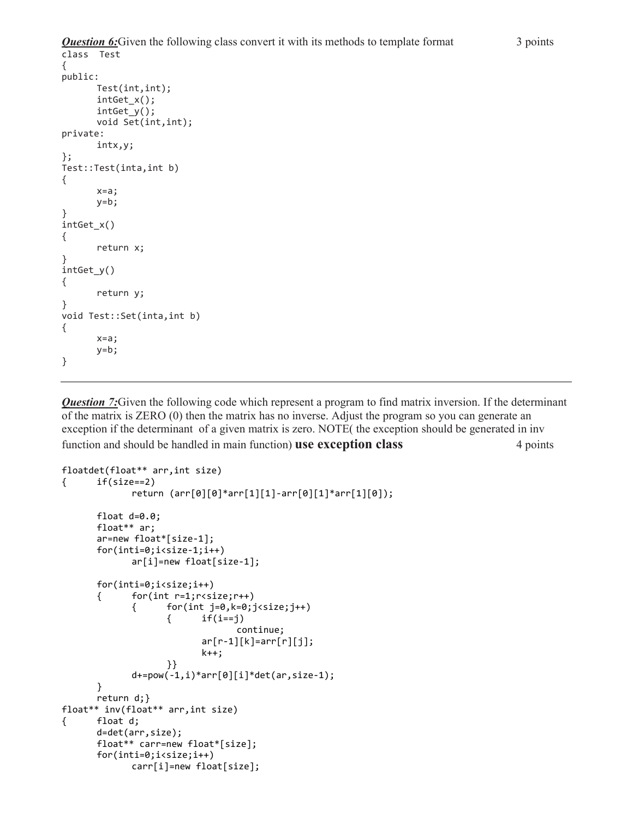```
Question 6:Given the following class convert it with its methods to template format 3 points
class Test 
\mathfrak{c}public: 
        Test(int,int); 
        intGet_x(); 
        intGet_y(); 
        void Set(int,int); 
private: 
        intx,y; 
}; 
Test::Test(inta,int b) 
{ 
        x=a; 
       v=b;
} 
intGet_x() 
{ 
       return x; 
} 
intGet_y() 
{ 
       return y; 
} 
void Test::Set(inta,int b) 
{ 
        x=a; 
       y=b;
```
**Question 7:**Given the following code which represent a program to find matrix inversion. If the determinant of the matrix is ZERO (0) then the matrix has no inverse. Adjust the program so you can generate an exception if the determinant of a given matrix is zero. NOTE( the exception should be generated in inv function and should be handled in main function) **use exception class** 4 points

```
floatdet(float** arr,int size) 
{ if(size==2) 
              return (arr[0][0]*arr[1][1]-arr[0][1]*arr[1][0]);
       float d=0.0; 
       float** ar; 
       ar=new float*[size-1]; 
       for(inti=0;i<size-1;i++) 
              ar[i]=new float[size-1]; 
       for(inti=0;i<size;i++) 
       { for(int r=1;r<size;r++) 
             { for(int j=0,k=0;j<size;j++)
                    \{ if(i==j)
                                  continue; 
                          ar[r-1][k] = arr[r][j]; k++; 
 }} 
              d+=pow(-1,i)*arr[0][i]*det(ar,size-1); 
       } 
       return d;} 
float** inv(float** arr,int size) 
{ float d; 
       d=det(arr,size); 
       float** carr=new float*[size]; 
       for(inti=0;i<size;i++) 
             carr[i]=new float[size];
```
}